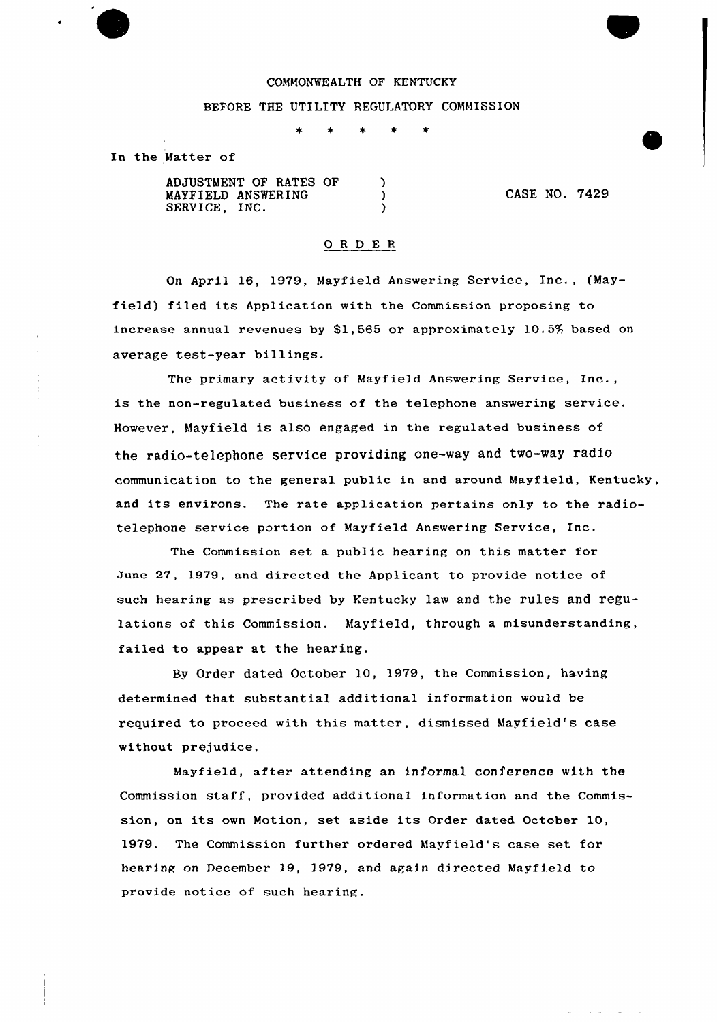### COMMONWEALTH OF KENTUCKY

# BEFORE THE UTILITY REGULATORY COMMISSION

 $\star$  $\star$  $\bullet$ 

In the Matter of

ADJUSTMENT OF RATES OF  $\lambda$ CASE NO. 7429  $\lambda$ MAYPIELD ANSWERING SERVICE, INC.  $\lambda$ 

# ORDER

On April 16, 1979, Mayfield Answering Service, Inc., (Mayfield) filed its Application with the Commission proposing to increase annual revenues by \$1,565 or approximately 10.5% based on average test-year billings.

The primary activity of Mayfield Answering Service, Inc., is the non-regulated business of the telephone answering service. However, Mayfield is also engaged in the regulated business of the radio-telephone service providing one-way and two-way radio communication to the general public in and around Mayfield, Kentucky, and its environs. The rate application pertains only to the radiotelephone service portion of Mayfield Answering Service, Inc.

The Commission set a public hearing on this matter for June 27, 1979, and directed the Applicant to provide notice of such hearing as prescribed by Kentucky law and the rules and regulations of this Commission. Mayfield, through a misunderstanding, failed to appear at the hearing.

By Order dated October 10, 1979, the Commission, having determined that substantial additional information would be required to proceed with this matter, dismissed Mayfield's case without prejudice.

Mayfield, after attending an informal conference with the Commission staff, provided additional information and the Commission, on its own Motion, set aside its Order dated October 10, 1979. The Commission further ordered Mayfield's case set for hearing on December 19, 1979, and again directed Mayfield to provide notice of such hearing.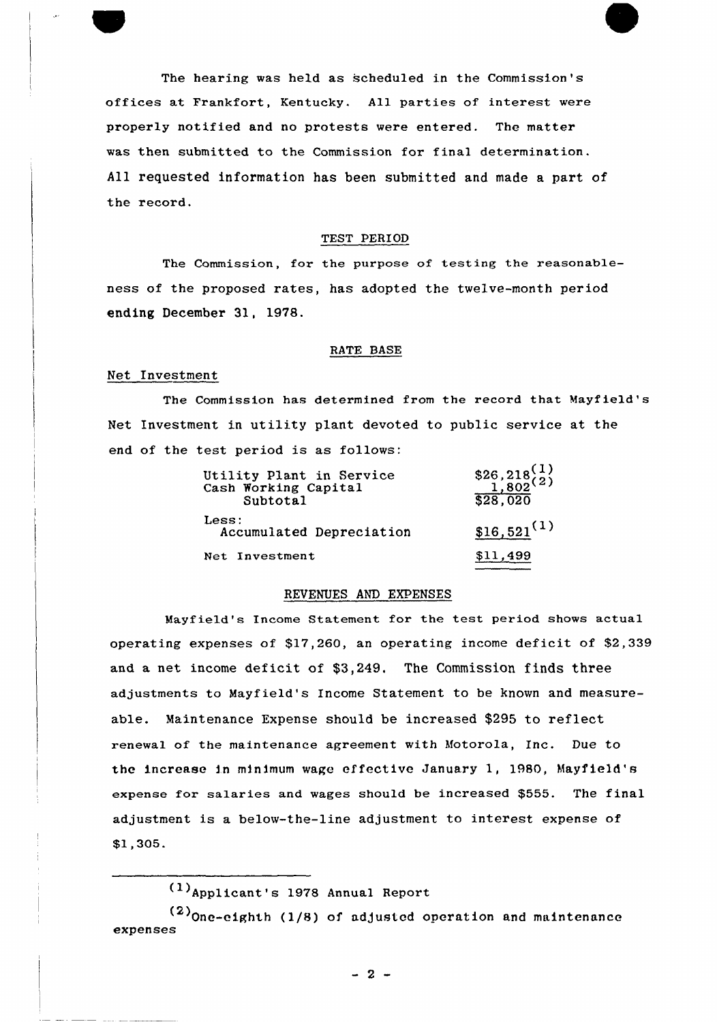The hearing was held as scheduled in the Commission's offices at Frankfort, Kentucky. All parties of interest were properly notified and no protests were entered. The matter was then submitted to the Commission for final determination. All requested information has been submitted and made a part of the record.

### TEST PERIOD

The Commission, for the purpose of testing the reasonableness of the proposed rates, has adopted the twelve-month period ending December 31, 1978.

### RATE BASE

# Net Investment

The Commission has determined from the record that Mayfield's Net Investment in utility plant devoted to public service at the end of the test period is as follows:

| Utility Plant in Service<br>Cash Working Capital<br>Subtotal | $$26,218^{(1)}$$<br>$1,802^{(2)}$$<br>\$28,020 |
|--------------------------------------------------------------|------------------------------------------------|
| Less:<br>Accumulated Depreciation                            | $$16,521^{(1)}$                                |
| Net Investment                                               | \$11.499                                       |

# REVENUES AND EXPENSES

Mayfield's Income Statement for the test period shows actual operating expenses of \$17,260, an operating income deficit of \$2,339 and a net income deficit of \$3,249. The Commission finds three adjustments to Mayfield's Income Statement to be known and measureable. Maintenance Expense should be increased \$295 to reflect renewal of the maintenance agreement with Motorola, Inc. Due to the increase in minimum wage effective January 1, 1980, Mayfield's expense for sa1aries and wages should be increased \$555. The final adjustment is a below-the-line adjustment to interest expense of \$1,305.

Applicant's <sup>1978</sup> Annual Report (1)

 $(2)$ One-eighth (1/8) of adjusted operation and maintenance expenses

 $-2 -$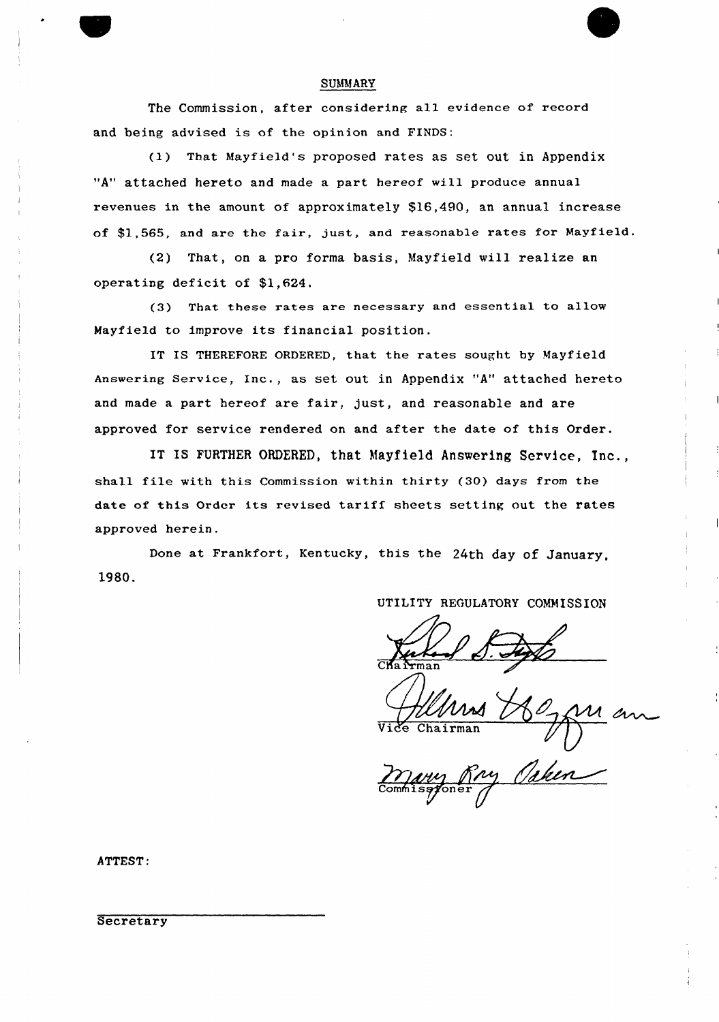### SUMMARY

The Commission, after considering all evidence of record and being advised is of the opinion and FINDS:

(I) That Mayfield's proposed rates as set out in Appendix "A" attached hereto and made a part hereof will produce annual revenues in the amount of approximately \$16,490, an annual increase of \$1,565, and are the fair, just, and reasonable rates for Nayfield.

(2) That, on a pro forma basis, Mayfield will realize an operating deficit of \$1,624.

(3) That these rates are necessary and essential to allow Mayfield to improve its financial position.

IT IS THEREFORE ORDERED, that the rates sought by Mayfield Answering Service, Inc., as set out in Appendix "A" attached hereto and made a part hereof are fair, just, and reasonable and are approved for service rendered on and after the date of this Order.

IT IS FURTHER ORDERED, that Mayfield Answering Service, Inc., shall file with this Commission within thirty (30) days from the date of this Order its revised tariff sheets setting out the rates approved herein.

Done at Frankfort, Kentucky, this the 24th day of January, 1980.

UTILITY REGULATORY COMMISSION

Chairman

ATTEST:

**Secretary**